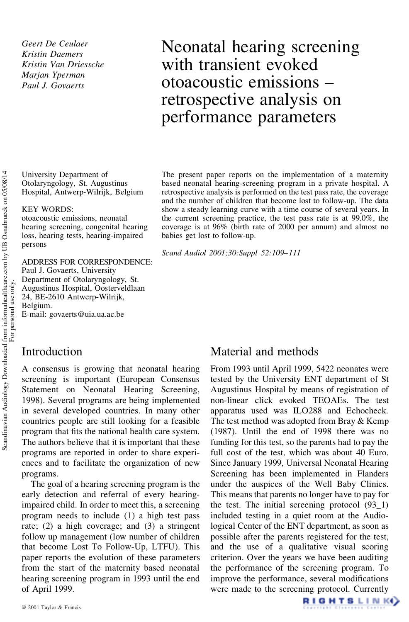*Geert De Ceulaer Kristin Daemers Kristin Van Driessche Marjan Yperman Paul J. Govaerts*

Neonatal hearing screening with transient evoked otoacoustic emissions – retrospective analysis on performance parameters

University Department of Otolaryngology, St. Augustinus Hospital, Antwerp-Wilrijk, Belgium

#### KEY WORDS:

otoacoustic emissions, neonatal hearing screening, congenital hearing loss, hearing tests, hearing-impaired persons

ADDRESS FOR CORRESPONDENCE: Paul J. Govaerts, University Department of Otolaryngology, St. Augustinus Hospital, Oosterveldlaan 24, BE-2610 Antwerp-Wilrijk, Belgium. E-mail: govaerts@uia.ua.ac.be

The present paper reports on the implementation of a maternity based neonatal hearing-screening program in a private hospital. A retrospective analysis is performed on the test pass rate, the coverage and the number of children that become lost to follow-up. The data show a steady learning curve with a time course of several years. In the current screening practice, the test pass rate is at 99.0%, the coverage is at 96% (birth rate of 2000 per annum) and almost no babies get lost to follow-up.

*Scand Audiol 2001;30:Suppl 52:109–111*

### Introduction

A consensus is growing that neonatal hearing screening is important (European Consensus Statement on Neonatal Hearing Screening, 1998). Several programs are being implemented in several developed countries. In many other countries people are still looking for a feasible program that fits the national health care system. The authors believe that it is important that these programs are reported in order to share experiences and to facilitate the organization of new programs.

The goal of a hearing screening program is the early detection and referral of every hearingimpaired child. In order to meet this, a screening program needs to include (1) a high test pass rate; (2) a high coverage; and (3) a stringent follow up management (low number of children that become Lost To Follow-Up, LTFU). This paper reports the evolution of these parameters from the start of the maternity based neonatal hearing screening program in 1993 until the end of April 1999.

### Material and methods

From 1993 until April 1999, 5422 neonates were tested by the University ENT department of St Augustinus Hospital by means of registration of non-linear click evoked TEOAEs. The test apparatus used was ILO288 and Echocheck. The test method was adopted from Bray & Kemp (1987). Until the end of 1998 there was no funding for this test, so the parents had to pay the full cost of the test, which was about 40 Euro. Since January 1999, Universal Neonatal Hearing Screening has been implemented in Flanders under the auspices of the Well Baby Clinics. This means that parents no longer have to pay for the test. The initial screening protocol (93\_1) included testing in a quiet room at the Audiological Center of the ENT department, as soon as possible after the parents registered for the test, and the use of a qualitative visual scoring criterion. Over the years we have been auditing the performance of the screening program. To improve the performance, several modifications were made to the screening protocol. Currently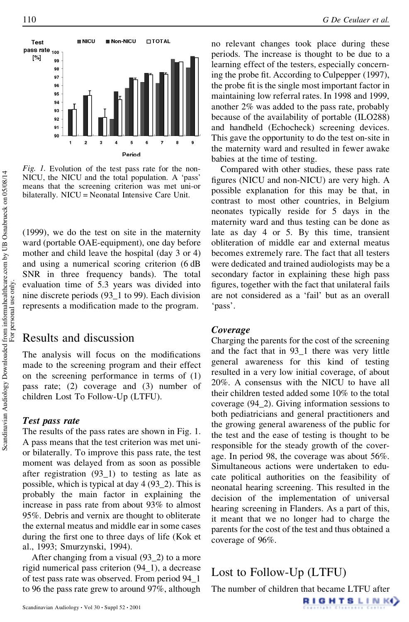

*Fig. 1.* Evolution of the test pass rate for the non-NICU, the NICU and the total population. A 'pass' means that the screening criterion was met uni-or bilaterally. NICU = Neonatal Intensive Care Unit.

(1999), we do the test on site in the maternity ward (portable OAE-equipment), one day before mother and child leave the hospital (day 3 or 4) and using a numerical scoring criterion (6 dB SNR in three frequency bands). The total evaluation time of 5.3 years was divided into nine discrete periods (93\_1 to 99). Each division represents a modification made to the program.

## Results and discussion

The analysis will focus on the modifications made to the screening program and their effect on the screening performance in terms of (1) pass rate; (2) coverage and (3) number of children Lost To Follow-Up (LTFU).

#### *Test pass rate*

The results of the pass rates are shown in Fig. 1. A pass means that the test criterion was met unior bilaterally. To improve this pass rate, the test moment was delayed from as soon as possible after registration (93\_1) to testing as late as possible, which is typical at day 4 (93\_2). This is probably the main factor in explaining the increase in pass rate from about 93% to almost 95%. Debris and vernix are thought to obliterate the external meatus and middle ear in some cases during the first one to three days of life (Kok et al., 1993; Smurzynski, 1994).

After changing from a visual (93\_2) to a more rigid numerical pass criterion (94\_1), a decrease of test pass rate was observed. From period 94\_1 to 96 the pass rate grew to around 97%, although

no relevant changes took place during these periods. The increase is thought to be due to a learning effect of the testers, especially concerning the probe fit. According to Culpepper (1997), the probe fit is the single most important factor in maintaining low referral rates. In 1998 and 1999, another 2% was added to the pass rate, probably because of the availability of portable (ILO288) and handheld (Echocheck) screening devices. This gave the opportunity to do the test on-site in the maternity ward and resulted in fewer awake babies at the time of testing.

Compared with other studies, these pass rate figures (NICU and non-NICU) are very high. A possible explanation for this may be that, in contrast to most other countries, in Belgium neonates typically reside for 5 days in the maternity ward and thus testing can be done as late as day 4 or 5. By this time, transient obliteration of middle ear and external meatus becomes extremely rare. The fact that all testers were dedicated and trained audiologists may be a secondary factor in explaining these high pass figures, together with the fact that unilateral fails are not considered as a 'fail' but as an overall 'pass'.

#### *Coverage*

Charging the parents for the cost of the screening and the fact that in 93\_1 there was very little general awareness for this kind of testing resulted in a very low initial coverage, of about 20%. A consensus with the NICU to have all their children tested added some 10% to the total coverage (94\_2). Giving information sessions to both pediatricians and general practitioners and the growing general awareness of the public for the test and the ease of testing is thought to be responsible for the steady growth of the coverage. In period 98, the coverage was about 56%. Simultaneous actions were undertaken to educate political authorities on the feasibility of neonatal hearing screening. This resulted in the decision of the implementation of universal hearing screening in Flanders. As a part of this, it meant that we no longer had to charge the parents for the cost of the test and thus obtained a coverage of 96%.

# Lost to Follow-Up (LTFU)

The number of children that became LTFU after

**RIGHTSLINK**